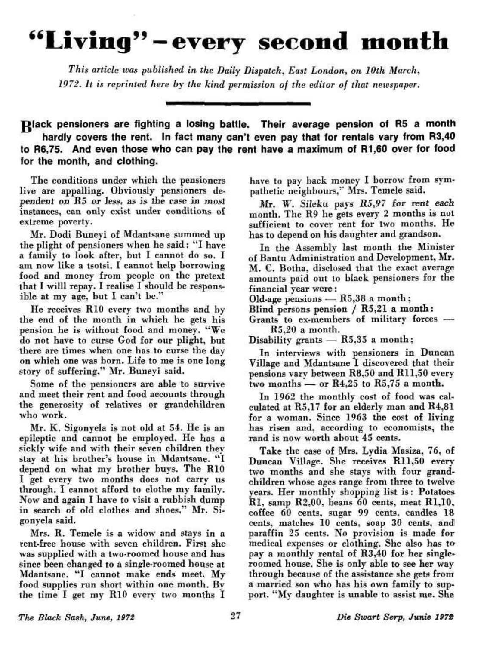## **"Living<sup>9</sup> ' — every second month**

*This article was published in the Daily Dispatch, East London, on 10th March, 1972. It is reprinted here by the kind permission of the editor of that newspaper.* 

**Olack** pensioners are fighting a losing battle. Their average pension **of R5 a month hardly covers the rent. In fact many can't even pay that for rentals vary from R3,40 to R6,75. And even those who can pay the rent have a maximum of R1,60 over for food for the month, and clothing.** 

The conditions under which the pensioners live are appalling. Obviously pensioners dependent on R5 or less, as is the case in most instances, can only exist under conditions of extreme poverty.

Mr. Dodi Buneyi of Mdantsane summed up the plight of pensioners when he said: "I have a family to look after, but I cannot do so. I am now like a tsotsi. I cannot help borrowing food and money from people on the pretext that I willl repay. I realise I should be responsible at my age, but I can't be."

He receives RIO every two months and by the end of the month in which he gets his pension he is without food and money. "We do not have to curse God for our plight, but there are times when one has to curse the day on which one was born. Life to me is one long story of suffering." Mr. Buneyi said.

Some of the pensioners are able to survive and meet their rent and food accounts through the generosity of relatives or grandchildren who work.

Mr. K. Sigonyela is not old at 54. He is an epileptic and cannot be employed. He has a sickly wife and with their seven children they stay at his brother's house in Mdantsane. " I depend on what my brother buys. The RIO I get every two months does not carry us through. I cannot afford to clothe my family. Now and again T have to visit a rubbish dump in search of old clothes and shoes." Mr. Sigonyela said.

Mrs. R. Temele is a widow and stays in a rent-free house with seven children. First she was supplied with a two-roomed house and has since been changed to a single-roomed house at Mdantsane. "I cannot make ends meet. My food supplies run short within one month. By the time I get my RIO every two months I

have to pay back money I borrow from sympathetic neighbours," Mrs. Temele said.

Mr. W. Sileku pays R5,97 for rent each month. The R9 he gets every 2 months is not sufficient to cover rent for two months. He has to depend on his daughter and grandson.

In the Assembly last month the Minister of Bantu Administration and Development, Mr. M. C. Botha, disclosed that the exact average amounts paid out to black pensioners for the financial year were :

Old-age pensions  $-$  R5,38 a month;

Blind persons pension / R5,21 a month :

Grants to ex-members of military forces — R5.20 a month.

Disability grants — R5.35 a month ;

In interviews with pensioners in Duncan Village and Mdantsane I discovered that their pensions vary between R8,50 and R11,50 every two months — or R4.25 to R5,75 a month.

In 1962 the monthly cost of food was calculated at R5.17 for an elderly man and R4,81 for a woman. Since 1963 the cost of living has risen and, according to economists, the rand is now worth about 45 cents.

Take the case of Mrs. Lydia Masiza, 76, of Duncan Village. She receives R11,50 every two months and she stays with four grandchildren whose ages range from three to twelve years. Her monthly shopping list is: Potatoes R1, samp R2,00, beans 60 cents, meat R1,10, coffee 60 cents, sugar 99 cents, candles 18 cents, matches 10 cents, soap 30 cents, and paraffin 25 cents. No provision is made for medical expenses or clothing. She also has to pay a monthly rental of R3,40 for her singleroomed house. She is only able to see her way toomed nouse, one is only able to see her way through because of the assistance she gets from a married son who has his own family to support. "My daughter is unable to assist me. She